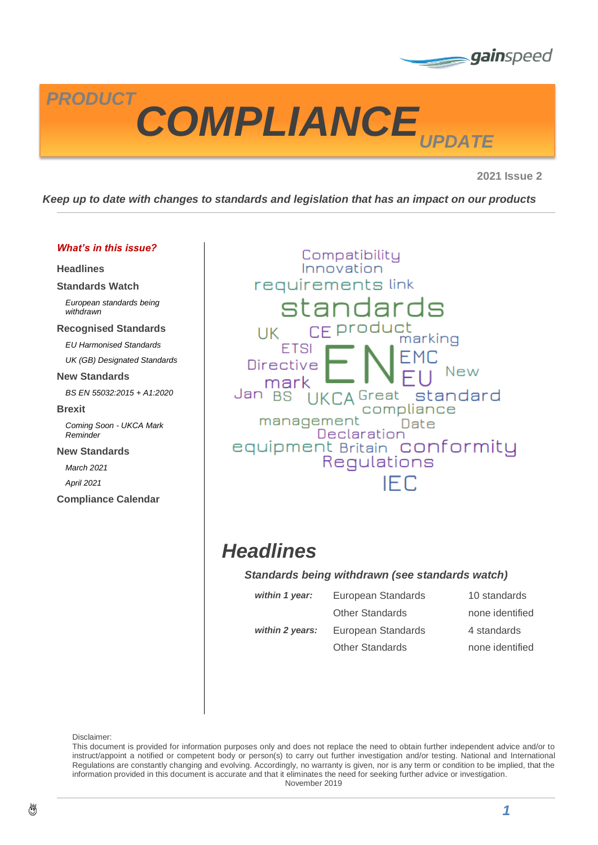



**2021 Issue 2**

*Keep up to date with changes to standards and legislation that has an impact on our products*

#### *What's in this issue?*

**[Headlines](#page-0-0)**

**[Standards Watch](#page-1-0)**

*[European standards being](#page-1-1)  [withdrawn](#page-1-1)*

#### **[Recognised Standards](#page-1-2)**

*[EU Harmonised Standards](#page-1-3)*

*[UK \(GB\) Designated Standards](#page-2-0)*

#### **[New Standards](#page-2-1)**

*[BS EN 55032:2015 + A1:2020](#page-2-2)*

**[Brexit](#page-3-0)**

*[Coming Soon -](#page-3-1) UKCA Mark [Reminder](#page-3-1)*

**[New Standards](#page-4-0)**

*[March 2021](#page-4-1)*

*[April 2021](#page-4-2)*

**[Compliance Calendar](#page-5-0)**

Compatibility Innovation requirements link standards CE product UK marking **FTSI Directive** New mark UKCA Great standard Jan BS compliance management Date Declaration equipment Britain Conformity **IFC** 

## <span id="page-0-0"></span>*Headlines*

#### *Standards being withdrawn (see standards watch)*

| within 1 year:  | European Standards     | 10 standards    |
|-----------------|------------------------|-----------------|
|                 | <b>Other Standards</b> | none identified |
| within 2 years: | European Standards     | 4 standards     |
|                 | <b>Other Standards</b> | none identified |

Disclaimer:

This document is provided for information purposes only and does not replace the need to obtain further independent advice and/or to instruct/appoint a notified or competent body or person(s) to carry out further investigation and/or testing. National and International Regulations are constantly changing and evolving. Accordingly, no warranty is given, nor is any term or condition to be implied, that the information provided in this document is accurate and that it eliminates the need for seeking further advice or investigation. November 2019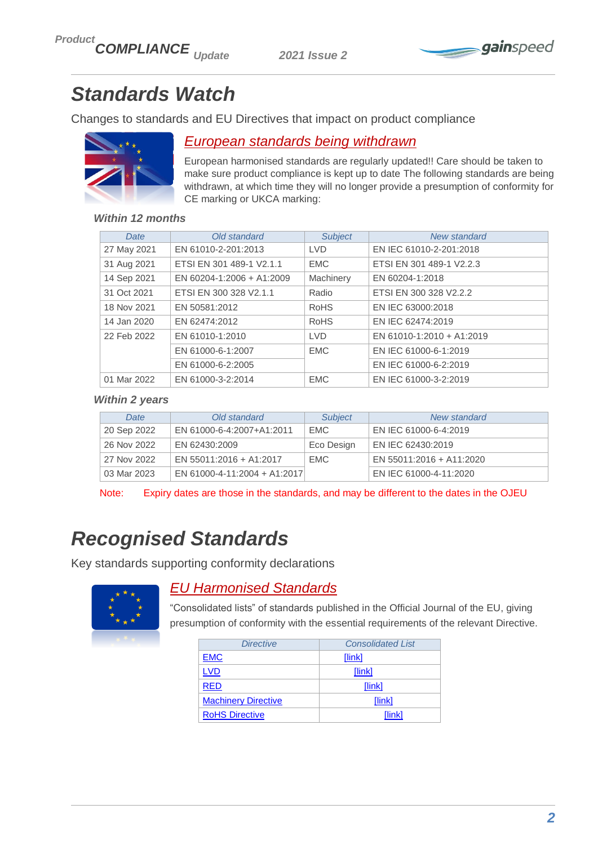

# <span id="page-1-0"></span>*Standards Watch*

Changes to standards and EU Directives that impact on product compliance



### <span id="page-1-1"></span>*European standards being withdrawn*

European harmonised standards are regularly updated!! Care should be taken to make sure product compliance is kept up to date The following standards are being withdrawn, at which time they will no longer provide a presumption of conformity for CE marking or UKCA marking:

### *Within 12 months*

| Date        |  | Old standard              | <b>Subject</b>                        | New standard              |
|-------------|--|---------------------------|---------------------------------------|---------------------------|
| 27 May 2021 |  | EN 61010-2-201:2013       | EN IEC 61010-2-201:2018<br><b>LVD</b> |                           |
| 31 Aug 2021 |  | ETSI EN 301 489-1 V2.1.1  | <b>EMC</b>                            | ETSI EN 301 489-1 V2.2.3  |
| 14 Sep 2021 |  | EN 60204-1:2006 + A1:2009 | Machinery                             | EN 60204-1:2018           |
| 31 Oct 2021 |  | ETSI EN 300 328 V2.1.1    | Radio                                 | ETSI EN 300 328 V2.2.2    |
| 18 Nov 2021 |  | EN 50581:2012             | <b>RoHS</b>                           | EN IEC 63000:2018         |
| 14 Jan 2020 |  | EN 62474:2012             | <b>RoHS</b>                           | EN IEC 62474:2019         |
| 22 Feb 2022 |  | EN 61010-1:2010           | <b>LVD</b>                            | EN 61010-1:2010 + A1:2019 |
|             |  | EN 61000-6-1:2007         | <b>EMC</b>                            | EN IEC 61000-6-1:2019     |
|             |  | EN 61000-6-2:2005         |                                       | EN IEC 61000-6-2:2019     |
| 01 Mar 2022 |  | EN 61000-3-2:2014         | <b>EMC</b>                            | EN IEC 61000-3-2:2019     |

#### *Within 2 years*

| Date        | Old standard                 | <b>Subject</b> | New standard             |
|-------------|------------------------------|----------------|--------------------------|
| 20 Sep 2022 | EN 61000-6-4:2007+A1:2011    | EMC            | EN IEC 61000-6-4:2019    |
| 26 Nov 2022 | EN 62430:2009                | Eco Design     | EN IEC 62430:2019        |
| 27 Nov 2022 | EN 55011:2016 + A1:2017      | <b>EMC</b>     | EN 55011:2016 + A11:2020 |
| 03 Mar 2023 | EN 61000-4-11:2004 + A1:2017 |                | EN IEC 61000-4-11:2020   |

Note: Expiry dates are those in the standards, and may be different to the dates in the OJEU

## <span id="page-1-2"></span>*Recognised Standards*

Key standards supporting conformity declarations



### <span id="page-1-3"></span>*EU Harmonised Standards*

"Consolidated lists" of standards published in the Official Journal of the EU, giving presumption of conformity with the essential requirements of the relevant Directive.

| <b>Directive</b>           | <b>Consolidated List</b> |  |  |
|----------------------------|--------------------------|--|--|
| <b>EMC</b>                 | [link]                   |  |  |
| <b>LVD</b>                 | [link]                   |  |  |
| <b>RED</b>                 | [link]                   |  |  |
| <b>Machinery Directive</b> | [link]                   |  |  |
| <b>RoHS Directive</b>      | [link]                   |  |  |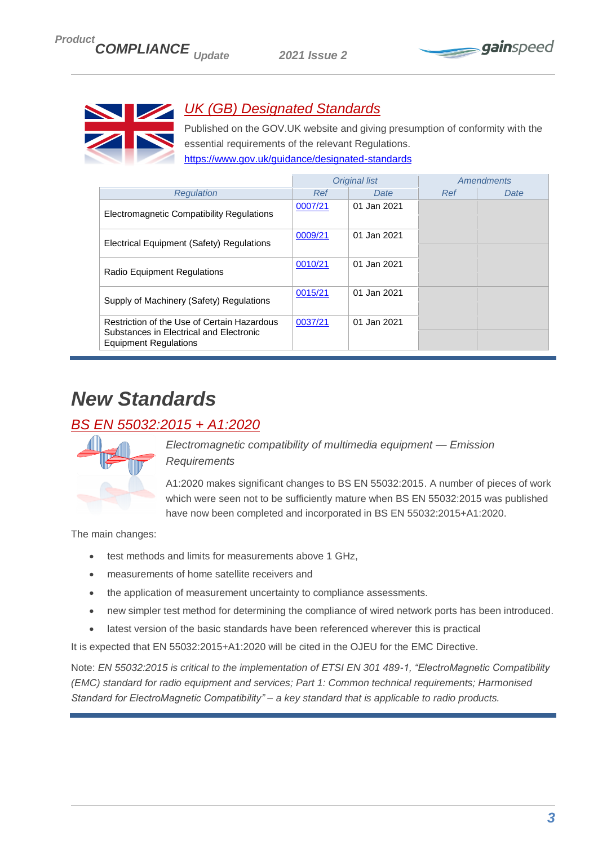



## <span id="page-2-0"></span>*UK (GB) Designated Standards*

Published on the GOV.UK website and giving presumption of conformity with the essential requirements of the relevant Regulations.

<https://www.gov.uk/guidance/designated-standards>

|                                                                                                                        |         | <b>Original list</b> |     | Amendments |
|------------------------------------------------------------------------------------------------------------------------|---------|----------------------|-----|------------|
| Regulation                                                                                                             | Ref     | Date                 | Ref | Date       |
| Electromagnetic Compatibility Regulations                                                                              | 0007/21 | 01 Jan 2021          |     |            |
| Electrical Equipment (Safety) Regulations                                                                              | 0009/21 | 01 Jan 2021          |     |            |
| <b>Radio Equipment Regulations</b>                                                                                     | 0010/21 | 01 Jan 2021          |     |            |
| Supply of Machinery (Safety) Regulations                                                                               | 0015/21 | 01 Jan 2021          |     |            |
| Restriction of the Use of Certain Hazardous<br>Substances in Electrical and Electronic<br><b>Equipment Regulations</b> | 0037/21 | 01 Jan 2021          |     |            |

## <span id="page-2-1"></span>*New Standards*

## <span id="page-2-2"></span>*BS EN 55032:2015 + A1:2020*



*Electromagnetic compatibility of multimedia equipment — Emission Requirements*

A1:2020 makes significant changes to BS EN 55032:2015. A number of pieces of work which were seen not to be sufficiently mature when BS EN 55032:2015 was published have now been completed and incorporated in BS EN 55032:2015+A1:2020.

The main changes:

- test methods and limits for measurements above 1 GHz,
- measurements of home satellite receivers and
- the application of measurement uncertainty to compliance assessments.
- new simpler test method for determining the compliance of wired network ports has been introduced.
- latest version of the basic standards have been referenced wherever this is practical

It is expected that EN 55032:2015+A1:2020 will be cited in the OJEU for the EMC Directive.

Note: *EN 55032:2015 is critical to the implementation of ETSI EN 301 489-1, "ElectroMagnetic Compatibility (EMC) standard for radio equipment and services; Part 1: Common technical requirements; Harmonised Standard for ElectroMagnetic Compatibility" – a key standard that is applicable to radio products.*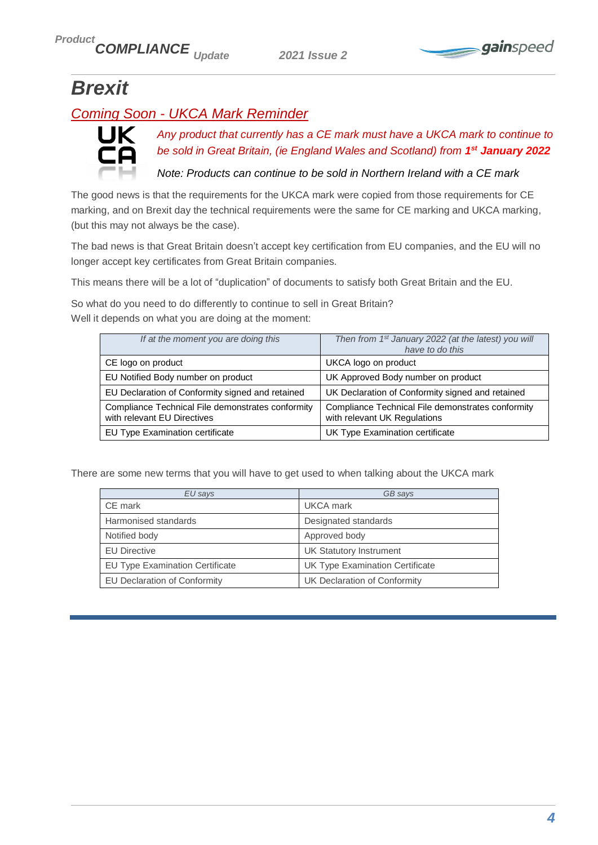

# <span id="page-3-0"></span>*Brexit*

## <span id="page-3-1"></span>*Coming Soon - UKCA Mark Reminder*



*Any product that currently has a CE mark must have a UKCA mark to continue to be sold in Great Britain, (ie England Wales and Scotland) from 1 st January 2022*

*Note: Products can continue to be sold in Northern Ireland with a CE mark*

The good news is that the requirements for the UKCA mark were copied from those requirements for CE marking, and on Brexit day the technical requirements were the same for CE marking and UKCA marking, (but this may not always be the case).

The bad news is that Great Britain doesn't accept key certification from EU companies, and the EU will no longer accept key certificates from Great Britain companies.

This means there will be a lot of "duplication" of documents to satisfy both Great Britain and the EU.

So what do you need to do differently to continue to sell in Great Britain? Well it depends on what you are doing at the moment:

| If at the moment you are doing this                                              | Then from 1 <sup>st</sup> January 2022 (at the latest) you will<br>have to do this |
|----------------------------------------------------------------------------------|------------------------------------------------------------------------------------|
| CE logo on product                                                               | UKCA logo on product                                                               |
| EU Notified Body number on product                                               | UK Approved Body number on product                                                 |
| EU Declaration of Conformity signed and retained                                 | UK Declaration of Conformity signed and retained                                   |
| Compliance Technical File demonstrates conformity<br>with relevant EU Directives | Compliance Technical File demonstrates conformity<br>with relevant UK Regulations  |
| EU Type Examination certificate                                                  | UK Type Examination certificate                                                    |

There are some new terms that you will have to get used to when talking about the UKCA mark

| EU says                         | GB says                         |
|---------------------------------|---------------------------------|
| CE mark                         | UKCA mark                       |
| Harmonised standards            | Designated standards            |
| Notified body                   | Approved body                   |
| <b>EU Directive</b>             | <b>UK Statutory Instrument</b>  |
| EU Type Examination Certificate | UK Type Examination Certificate |
| EU Declaration of Conformity    | UK Declaration of Conformity    |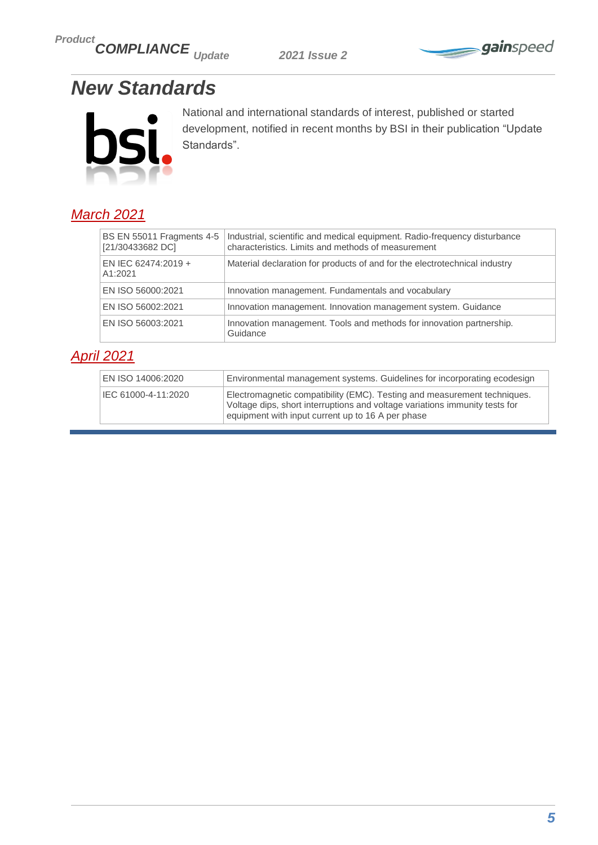*Product COMPLIANCE Update 2021 Issue 2*



# <span id="page-4-0"></span>*New Standards*



National and international standards of interest, published or started development, notified in recent months by BSI in their publication "Update Standards".

## <span id="page-4-1"></span>*March 2021*

| <b>BS EN 55011 Fragments 4-5</b><br>[21/30433682 DC] | Industrial, scientific and medical equipment. Radio-frequency disturbance<br>characteristics. Limits and methods of measurement |
|------------------------------------------------------|---------------------------------------------------------------------------------------------------------------------------------|
| EN IEC 62474:2019 +<br>A1:2021                       | Material declaration for products of and for the electrotechnical industry                                                      |
| EN ISO 56000:2021                                    | Innovation management. Fundamentals and vocabulary                                                                              |
| EN ISO 56002:2021                                    | Innovation management. Innovation management system. Guidance                                                                   |
| EN ISO 56003:2021                                    | Innovation management. Tools and methods for innovation partnership.<br>Guidance                                                |

### <span id="page-4-2"></span>*April 2021*

| EN ISO 14006:2020   | Environmental management systems. Guidelines for incorporating ecodesign                                                                                                                                     |
|---------------------|--------------------------------------------------------------------------------------------------------------------------------------------------------------------------------------------------------------|
| IEC 61000-4-11:2020 | Electromagnetic compatibility (EMC). Testing and measurement techniques.<br>Voltage dips, short interruptions and voltage variations immunity tests for<br>equipment with input current up to 16 A per phase |